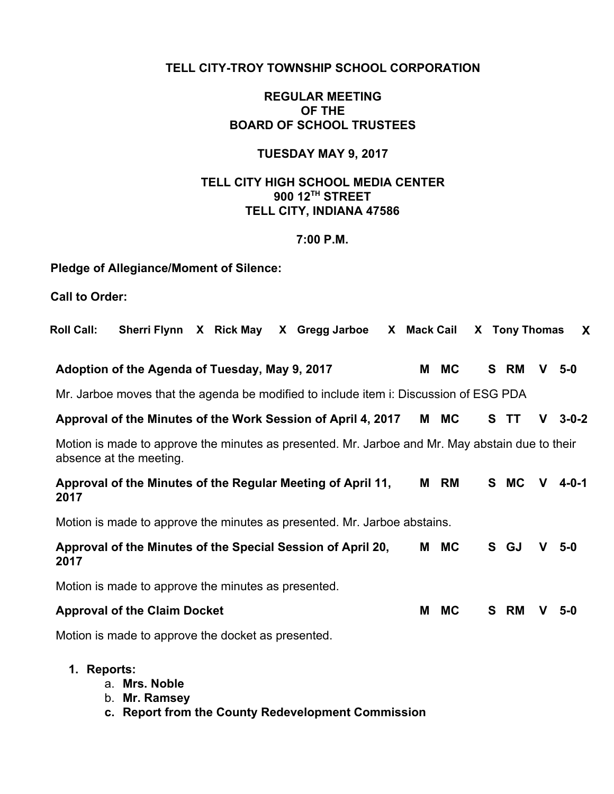# **TELL CITY-TROY TOWNSHIP SCHOOL CORPORATION**

### **REGULAR MEETING OF THE BOARD OF SCHOOL TRUSTEES**

#### **TUESDAY MAY 9, 2017**

## **TELL CITY HIGH SCHOOL MEDIA CENTER 900 12 TH STREET TELL CITY, INDIANA 47586**

#### **7:00 P.M.**

### **Pledge of Allegiance/Moment of Silence:**

**Call to Order:**

| <b>Roll Call:</b>                                                                                                          | Sherri Flynn X Rick May                             |  |  |  | X Gregg Jarboe                                               |  | X Mack Cail |           |  | X Tony Thomas |   |             | X |
|----------------------------------------------------------------------------------------------------------------------------|-----------------------------------------------------|--|--|--|--------------------------------------------------------------|--|-------------|-----------|--|---------------|---|-------------|---|
|                                                                                                                            | Adoption of the Agenda of Tuesday, May 9, 2017      |  |  |  |                                                              |  | M           | <b>MC</b> |  | S RM          | v | $5 - 0$     |   |
| Mr. Jarboe moves that the agenda be modified to include item i: Discussion of ESG PDA                                      |                                                     |  |  |  |                                                              |  |             |           |  |               |   |             |   |
|                                                                                                                            |                                                     |  |  |  | Approval of the Minutes of the Work Session of April 4, 2017 |  |             | M MC      |  | S TT          | V | $3 - 0 - 2$ |   |
| Motion is made to approve the minutes as presented. Mr. Jarboe and Mr. May abstain due to their<br>absence at the meeting. |                                                     |  |  |  |                                                              |  |             |           |  |               |   |             |   |
| 2017                                                                                                                       |                                                     |  |  |  | Approval of the Minutes of the Regular Meeting of April 11,  |  |             | M RM      |  | S MC          | V | 4-0-1       |   |
| Motion is made to approve the minutes as presented. Mr. Jarboe abstains.                                                   |                                                     |  |  |  |                                                              |  |             |           |  |               |   |             |   |
| 2017                                                                                                                       |                                                     |  |  |  | Approval of the Minutes of the Special Session of April 20,  |  |             | M MC      |  | S GJ          | v | $5-0$       |   |
|                                                                                                                            | Motion is made to approve the minutes as presented. |  |  |  |                                                              |  |             |           |  |               |   |             |   |
|                                                                                                                            | <b>Approval of the Claim Docket</b>                 |  |  |  |                                                              |  | M           | <b>MC</b> |  | S RM          | v | $5-0$       |   |
|                                                                                                                            | Motion is made to approve the docket as presented.  |  |  |  |                                                              |  |             |           |  |               |   |             |   |

- **1. Reports:**
	- a. **Mrs. Noble**
	- b. **Mr. Ramsey**
	- **c. Report from the County Redevelopment Commission**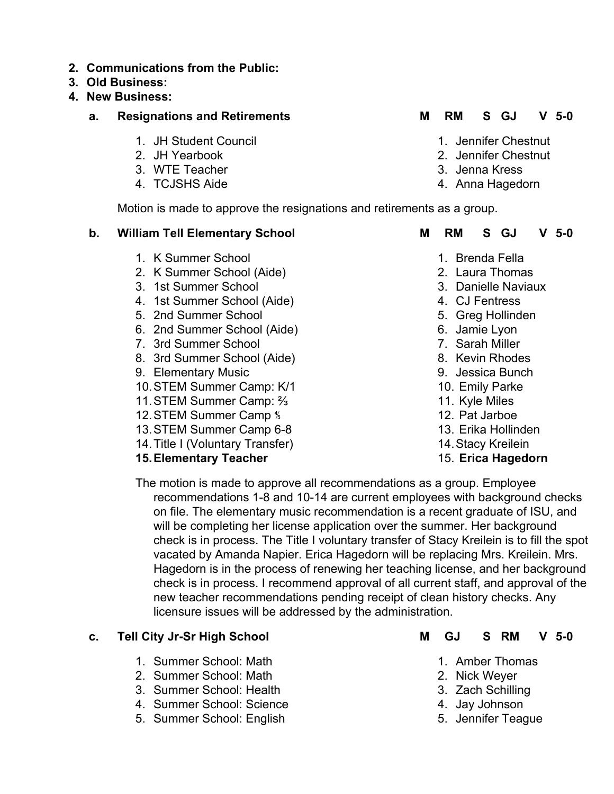**2. Communications from the Public:**

### **3. Old Business:**

**4. New Business:**

## **a. Resignations and Retirements M RM S GJ V 5-0**

- 1. JH Student Council
- 2. JH Yearbook
- 3. WTE Teacher
- 4. TCJSHS Aide

- 1. Jennifer Chestnut
- 2. Jennifer Chestnut
- 3. Jenna Kress
- 4. Anna Hagedorn

Motion is made to approve the resignations and retirements as a group.

## **b. William Tell Elementary School M RM S GJ V 5-0**

- 1. K Summer School
- 2. K Summer School (Aide)
- 3. 1st Summer School
- 4. 1st Summer School (Aide)
- 5. 2nd Summer School
- 6. 2nd Summer School (Aide)
- 7. 3rd Summer School
- 8. 3rd Summer School (Aide)
- 9. Elementary Music
- 10.STEM Summer Camp: K/1
- 11.STEM Summer Camp: ⅔
- 12.STEM Summer Camp ⅘
- 13.STEM Summer Camp 6-8
- 14.Title I (Voluntary Transfer)

# **15.Elementary Teacher**

- 1. Brenda Fella
- 2. Laura Thomas
- 3. Danielle Naviaux
- 4. CJ Fentress
- 5. Greg Hollinden
- 6. Jamie Lyon
- 7. Sarah Miller
- 8. Kevin Rhodes
- 9. Jessica Bunch
- 10. Emily Parke
- 11. Kyle Miles
- 12. Pat Jarboe
- 13. Erika Hollinden
- 14.Stacy Kreilein
- 15. **Erica Hagedorn**

The motion is made to approve all recommendations as a group. Employee recommendations 1-8 and 10-14 are current employees with background checks on file. The elementary music recommendation is a recent graduate of ISU, and will be completing her license application over the summer. Her background check is in process. The Title I voluntary transfer of Stacy Kreilein is to fill the spot vacated by Amanda Napier. Erica Hagedorn will be replacing Mrs. Kreilein. Mrs. Hagedorn is in the process of renewing her teaching license, and her background check is in process. I recommend approval of all current staff, and approval of the new teacher recommendations pending receipt of clean history checks. Any licensure issues will be addressed by the administration.

# **c. Tell City Jr-Sr High School M GJ S RM V 5-0**

- 1. Summer School: Math
- 2. Summer School: Math
- 3. Summer School: Health
- 4. Summer School: Science
- 5. Summer School: English

- 1. Amber Thomas
- 2. Nick Weyer
- 3. Zach Schilling
- 4. Jay Johnson
- 5. Jennifer Teague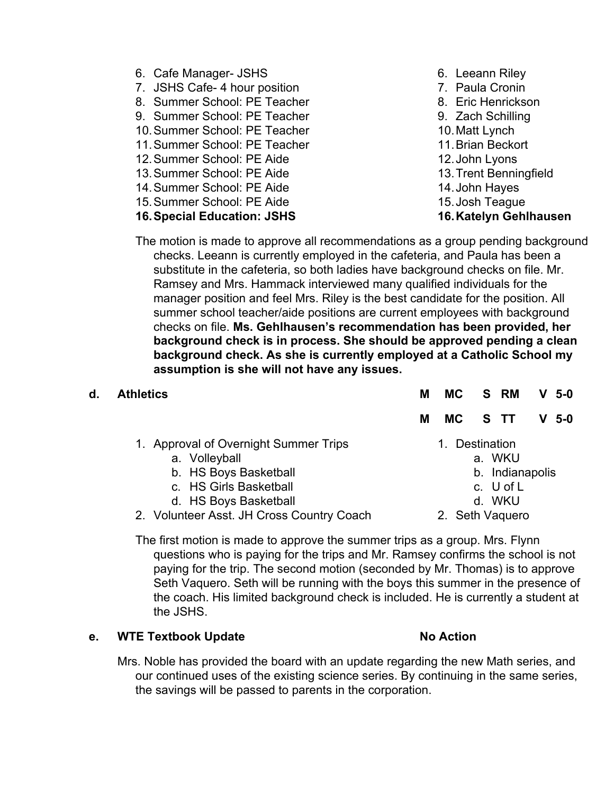- 6. Cafe Manager- JSHS
- 7. JSHS Cafe- 4 hour position
- 8. Summer School: PE Teacher
- 9. Summer School: PE Teacher
- 10.Summer School: PE Teacher
- 11.Summer School: PE Teacher
- 12.Summer School: PE Aide
- 13.Summer School: PE Aide
- 14.Summer School: PE Aide
- 15.Summer School: PE Aide
- **16.Special Education: JSHS**
- 6. Leeann Riley
- 7. Paula Cronin
- 8. Eric Henrickson
- 9. Zach Schilling
- 10.Matt Lynch
- 11.Brian Beckort
- 12.John Lyons
- 13.Trent Benningfield
- 14.John Hayes
- 15.Josh Teague
- **16.Katelyn Gehlhausen**

The motion is made to approve all recommendations as a group pending background checks. Leeann is currently employed in the cafeteria, and Paula has been a substitute in the cafeteria, so both ladies have background checks on file. Mr. Ramsey and Mrs. Hammack interviewed many qualified individuals for the manager position and feel Mrs. Riley is the best candidate for the position. All summer school teacher/aide positions are current employees with background checks on file. **Ms. Gehlhausen's recommendation has been provided, her background check is in process. She should be approved pending a clean background check. As she is currently employed at a Catholic School my assumption is she will not have any issues.**

| d. | <b>Athletics</b>                                                                                                                                                                | М                                                                                  | MC. |  | S RM |  | $V5-0$  |  |
|----|---------------------------------------------------------------------------------------------------------------------------------------------------------------------------------|------------------------------------------------------------------------------------|-----|--|------|--|---------|--|
|    |                                                                                                                                                                                 | м                                                                                  | MC. |  | S TT |  | $V$ 5-0 |  |
|    | 1. Approval of Overnight Summer Trips<br>a. Volleyball<br>b. HS Boys Basketball<br>c. HS Girls Basketball<br>d. HS Boys Basketball<br>2. Volunteer Asst. JH Cross Country Coach | Destination<br>a. WKU<br>b. Indianapolis<br>c. U of L<br>d. WKU<br>2. Seth Vaquero |     |  |      |  |         |  |

The first motion is made to approve the summer trips as a group. Mrs. Flynn questions who is paying for the trips and Mr. Ramsey confirms the school is not paying for the trip. The second motion (seconded by Mr. Thomas) is to approve Seth Vaquero. Seth will be running with the boys this summer in the presence of the coach. His limited background check is included. He is currently a student at the JSHS.

### **e. WTE Textbook Update No Action**

Mrs. Noble has provided the board with an update regarding the new Math series, and our continued uses of the existing science series. By continuing in the same series, the savings will be passed to parents in the corporation.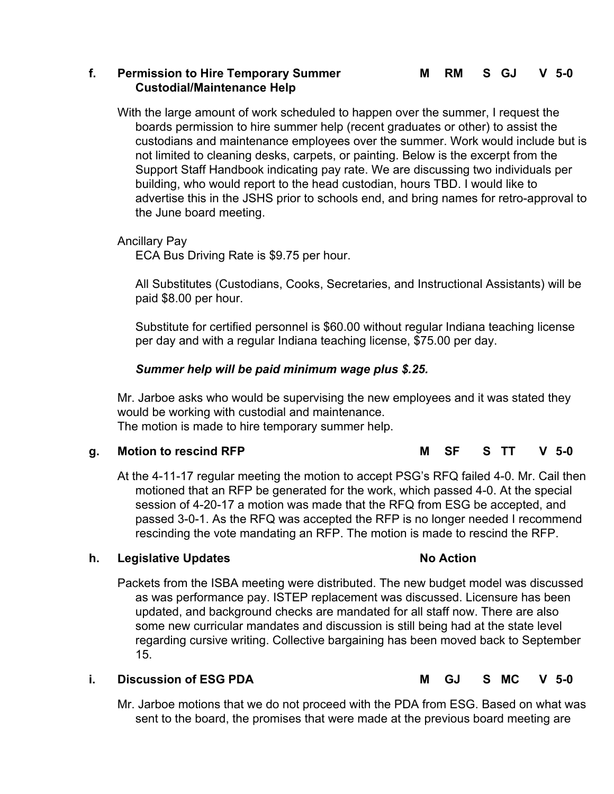## **f. Permission to Hire Temporary Summer Custodial/Maintenance Help**

With the large amount of work scheduled to happen over the summer, I request the boards permission to hire summer help (recent graduates or other) to assist the custodians and maintenance employees over the summer. Work would include but is not limited to cleaning desks, carpets, or painting. Below is the excerpt from the Support Staff Handbook indicating pay rate. We are discussing two individuals per building, who would report to the head custodian, hours TBD. I would like to advertise this in the JSHS prior to schools end, and bring names for retro-approval to the June board meeting.

#### Ancillary Pay

ECA Bus Driving Rate is \$9.75 per hour.

All Substitutes (Custodians, Cooks, Secretaries, and Instructional Assistants) will be paid \$8.00 per hour.

Substitute for certified personnel is \$60.00 without regular Indiana teaching license per day and with a regular Indiana teaching license, \$75.00 per day.

## *Summer help will be paid minimum wage plus \$.25.*

Mr. Jarboe asks who would be supervising the new employees and it was stated they would be working with custodial and maintenance. The motion is made to hire temporary summer help.

### **g. Motion to rescind RFP M SF S TT V 5-0**

At the 4-11-17 regular meeting the motion to accept PSG's RFQ failed 4-0. Mr. Cail then motioned that an RFP be generated for the work, which passed 4-0. At the special session of 4-20-17 a motion was made that the RFQ from ESG be accepted, and passed 3-0-1. As the RFQ was accepted the RFP is no longer needed I recommend rescinding the vote mandating an RFP. The motion is made to rescind the RFP.

# **h. Legislative Updates No Action**

Packets from the ISBA meeting were distributed. The new budget model was discussed as was performance pay. ISTEP replacement was discussed. Licensure has been updated, and background checks are mandated for all staff now. There are also some new curricular mandates and discussion is still being had at the state level regarding cursive writing. Collective bargaining has been moved back to September 15.

### **i. Discussion of ESG PDA M GJ S MC V 5-0**

Mr. Jarboe motions that we do not proceed with the PDA from ESG. Based on what was sent to the board, the promises that were made at the previous board meeting are